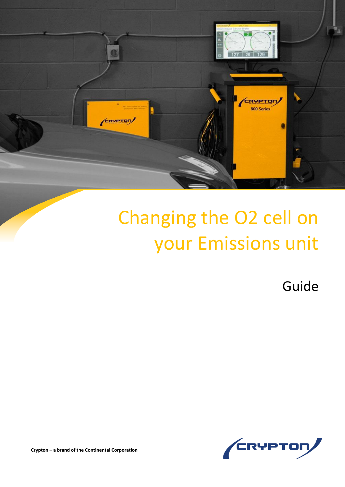

## Changing the O2 cell on your Emissions unit

Guide



**Crypton – a brand of the Continental Corporation**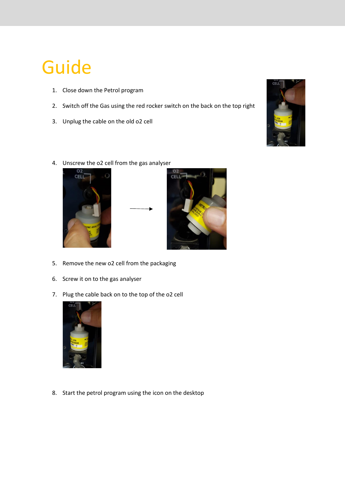## Guide

- 1. Close down the Petrol program
- 2. Switch off the Gas using the red rocker switch on the back on the top right
- 3. Unplug the cable on the old o2 cell



4. Unscrew the o2 cell from the gas analyser





- 5. Remove the new o2 cell from the packaging
- 6. Screw it on to the gas analyser
- 7. Plug the cable back on to the top of the o2 cell



8. Start the petrol program using the icon on the desktop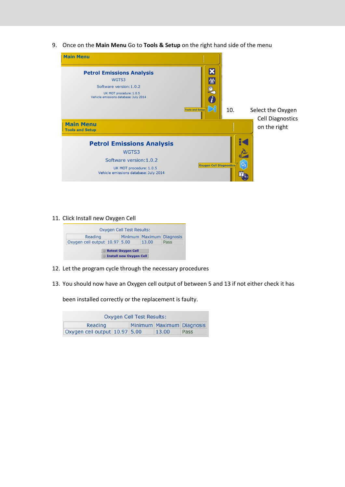9. Once on the **Main Menu** Go to **Tools & Setup** on the right hand side of the menu



11. Click Install new Oxygen Cell



- 12. Let the program cycle through the necessary procedures
- 13. You should now have an Oxygen cell output of between 5 and 13 if not either check it has

been installed correctly or the replacement is faulty.

| Oxygen Cell Test Results:     |  |  |                           |      |
|-------------------------------|--|--|---------------------------|------|
| Reading                       |  |  | Minimum Maximum Diagnosis |      |
| Oxygen cell output 10.97 5.00 |  |  | 13.00                     | Pass |